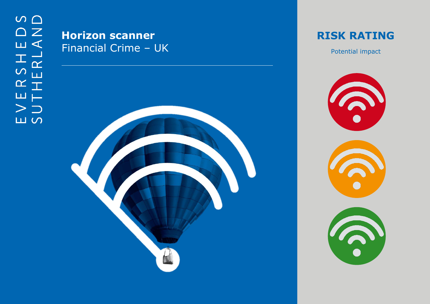## **Horizon scanner** Financial Crime – U K



**RISK RATING**

Potential impact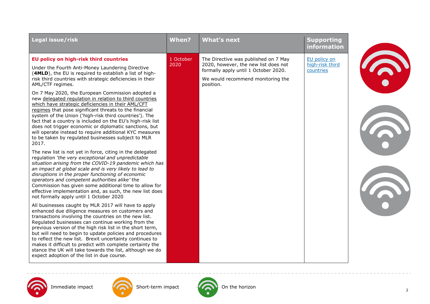| Legal issue/risk                                                                                                                                                                                                                                                                                                                                                                                                                                                                                                                                                                                                                                                                                                                                                                                                                                                                                                                                                                                                                                                                                                                                                                                                                                                                                                                                                                                                                                                                                                                                                                                                                                                                                                                                                                                                                                                                         | <b>When?</b>      | <b>What's next</b>                                                                                                                                                     | <b>Supporting</b><br>information             |  |
|------------------------------------------------------------------------------------------------------------------------------------------------------------------------------------------------------------------------------------------------------------------------------------------------------------------------------------------------------------------------------------------------------------------------------------------------------------------------------------------------------------------------------------------------------------------------------------------------------------------------------------------------------------------------------------------------------------------------------------------------------------------------------------------------------------------------------------------------------------------------------------------------------------------------------------------------------------------------------------------------------------------------------------------------------------------------------------------------------------------------------------------------------------------------------------------------------------------------------------------------------------------------------------------------------------------------------------------------------------------------------------------------------------------------------------------------------------------------------------------------------------------------------------------------------------------------------------------------------------------------------------------------------------------------------------------------------------------------------------------------------------------------------------------------------------------------------------------------------------------------------------------|-------------------|------------------------------------------------------------------------------------------------------------------------------------------------------------------------|----------------------------------------------|--|
| EU policy on high-risk third countries<br>Under the Fourth Anti-Money Laundering Directive<br>(4MLD), the EU is required to establish a list of high-<br>risk third countries with strategic deficiencies in their<br>AML/CTF regimes.<br>On 7 May 2020, the European Commission adopted a<br>new delegated regulation in relation to third countries<br>which have strategic deficiencies in their AML/CFT<br>regimes that pose significant threats to the financial<br>system of the Union ('high-risk third countries'). The<br>fact that a country is included on the EU's high-risk list<br>does not trigger economic or diplomatic sanctions, but<br>will operate instead to require additional KYC measures<br>to be taken by regulated businesses subject to MLR<br>2017.<br>The new list is not yet in force, citing in the delegated<br>regulation 'the very exceptional and unpredictable<br>situation arising from the COVID-19 pandemic which has<br>an impact at global scale and is very likely to lead to<br>disruptions in the proper functioning of economic<br>operators and competent authorities alike' the<br>Commission has given some additional time to allow for<br>effective implementation and, as such, the new list does<br>not formally apply until 1 October 2020<br>All businesses caught by MLR 2017 will have to apply<br>enhanced due diligence measures on customers and<br>transactions involving the countries on the new list.<br>Regulated businesses can continue working from the<br>previous version of the high risk list in the short term,<br>but will need to begin to update policies and procedures<br>to reflect the new list. Brexit uncertainty continues to<br>makes it difficult to predict with complete certainty the<br>stance the UK will take towards the list, although we do<br>expect adoption of the list in due course. | 1 October<br>2020 | The Directive was published on 7 May<br>2020, however, the new list does not<br>formally apply until 1 October 2020.<br>We would recommend monitoring the<br>position. | EU policy on<br>high-risk third<br>countries |  |

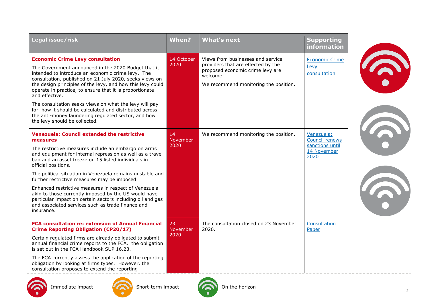| Legal issue/risk                                                                                                                                                                                                                                                                                                                                                                                                                                                                                                                                                                                                                | When?                  | <b>What's next</b>                                                                                                                                               | <b>Supporting</b><br><b>information</b>                                       |  |
|---------------------------------------------------------------------------------------------------------------------------------------------------------------------------------------------------------------------------------------------------------------------------------------------------------------------------------------------------------------------------------------------------------------------------------------------------------------------------------------------------------------------------------------------------------------------------------------------------------------------------------|------------------------|------------------------------------------------------------------------------------------------------------------------------------------------------------------|-------------------------------------------------------------------------------|--|
| <b>Economic Crime Levy consultation</b><br>The Government announced in the 2020 Budget that it<br>intended to introduce an economic crime levy. The<br>consultation, published on 21 July 2020, seeks views on<br>the design principles of the levy, and how this levy could<br>operate in practice, to ensure that it is proportionate<br>and effective.<br>The consultation seeks views on what the levy will pay<br>for, how it should be calculated and distributed across<br>the anti-money laundering regulated sector, and how<br>the levy should be collected.                                                          | 14 October<br>2020     | Views from businesses and service<br>providers that are effected by the<br>proposed economic crime levy are<br>welcome.<br>We recommend monitoring the position. | <b>Economic Crime</b><br>Levy<br>consultation                                 |  |
| <b>Venezuela: Council extended the restrictive</b><br>measures<br>The restrictive measures include an embargo on arms<br>and equipment for internal repression as well as a travel<br>ban and an asset freeze on 15 listed individuals in<br>official positions.<br>The political situation in Venezuela remains unstable and<br>further restrictive measures may be imposed.<br>Enhanced restrictive measures in respect of Venezuela<br>akin to those currently imposed by the US would have<br>particular impact on certain sectors including oil and gas<br>and associated services such as trade finance and<br>insurance. | 14<br>November<br>2020 | We recommend monitoring the position.                                                                                                                            | Venezuela:<br><b>Council renews</b><br>sanctions until<br>14 November<br>2020 |  |
| <b>FCA consultation re: extension of Annual Financial</b><br><b>Crime Reporting Obligation (CP20/17)</b><br>Certain regulated firms are already obligated to submit<br>annual financial crime reports to the FCA. the obligation<br>is set out in the FCA Handbook SUP 16.23.<br>The FCA currently assess the application of the reporting<br>obligation by looking at firms types. However, the<br>consultation proposes to extend the reporting                                                                                                                                                                               | 23<br>November<br>2020 | The consultation closed on 23 November<br>2020.                                                                                                                  | Consultation<br>Paper                                                         |  |



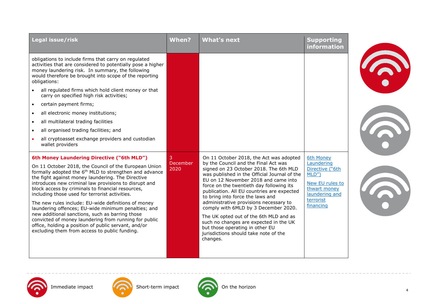| Legal issue/risk                                                                                                                                                                                                                                                                                                                                                                                                                                                                                                                                                                                                                                                                                                                  | When?                 | <b>What's next</b>                                                                                                                                                                                                                                                                                                                                                                                                                                                                                                                                                                                            | <b>Supporting</b><br>information                                                                                                  |  |
|-----------------------------------------------------------------------------------------------------------------------------------------------------------------------------------------------------------------------------------------------------------------------------------------------------------------------------------------------------------------------------------------------------------------------------------------------------------------------------------------------------------------------------------------------------------------------------------------------------------------------------------------------------------------------------------------------------------------------------------|-----------------------|---------------------------------------------------------------------------------------------------------------------------------------------------------------------------------------------------------------------------------------------------------------------------------------------------------------------------------------------------------------------------------------------------------------------------------------------------------------------------------------------------------------------------------------------------------------------------------------------------------------|-----------------------------------------------------------------------------------------------------------------------------------|--|
| obligations to include firms that carry on regulated<br>activities that are considered to potentially pose a higher<br>money laundering risk. In summary, the following<br>would therefore be brought into scope of the reporting<br>obligations:                                                                                                                                                                                                                                                                                                                                                                                                                                                                                 |                       |                                                                                                                                                                                                                                                                                                                                                                                                                                                                                                                                                                                                               |                                                                                                                                   |  |
| all regulated firms which hold client money or that<br>carry on specified high risk activities;                                                                                                                                                                                                                                                                                                                                                                                                                                                                                                                                                                                                                                   |                       |                                                                                                                                                                                                                                                                                                                                                                                                                                                                                                                                                                                                               |                                                                                                                                   |  |
| certain payment firms;<br>$\bullet$                                                                                                                                                                                                                                                                                                                                                                                                                                                                                                                                                                                                                                                                                               |                       |                                                                                                                                                                                                                                                                                                                                                                                                                                                                                                                                                                                                               |                                                                                                                                   |  |
| all electronic money institutions;<br>$\bullet$                                                                                                                                                                                                                                                                                                                                                                                                                                                                                                                                                                                                                                                                                   |                       |                                                                                                                                                                                                                                                                                                                                                                                                                                                                                                                                                                                                               |                                                                                                                                   |  |
| all multilateral trading facilities                                                                                                                                                                                                                                                                                                                                                                                                                                                                                                                                                                                                                                                                                               |                       |                                                                                                                                                                                                                                                                                                                                                                                                                                                                                                                                                                                                               |                                                                                                                                   |  |
| all organised trading facilities; and<br>$\bullet$                                                                                                                                                                                                                                                                                                                                                                                                                                                                                                                                                                                                                                                                                |                       |                                                                                                                                                                                                                                                                                                                                                                                                                                                                                                                                                                                                               |                                                                                                                                   |  |
| all cryptoasset exchange providers and custodian<br>wallet providers                                                                                                                                                                                                                                                                                                                                                                                                                                                                                                                                                                                                                                                              |                       |                                                                                                                                                                                                                                                                                                                                                                                                                                                                                                                                                                                                               |                                                                                                                                   |  |
| 6th Money Laundering Directive ("6th MLD")<br>On 11 October 2018, the Council of the European Union<br>formally adopted the 6 <sup>th</sup> MLD to strengthen and advance<br>the fight against money laundering. The Directive<br>introduces new criminal law provisions to disrupt and<br>block access by criminals to financial resources,<br>including those used for terrorist activities.<br>The new rules include: EU-wide definitions of money<br>laundering offences; EU-wide minimum penalties; and<br>new additional sanctions, such as barring those<br>convicted of money laundering from running for public<br>office, holding a position of public servant, and/or<br>excluding them from access to public funding. | 3<br>December<br>2020 | On 11 October 2018, the Act was adopted<br>by the Council and the Final Act was<br>signed on 23 October 2018. The 6th MLD<br>was published in the Official Journal of the<br>EU on 12 November 2018 and came into<br>force on the twentieth day following its<br>publication. All EU countries are expected<br>to bring into force the laws and<br>administrative provisions necessary to<br>comply with 6MLD by 3 December 2020.<br>The UK opted out of the 6th MLD and as<br>such no changes are expected in the UK<br>but those operating in other EU<br>jurisdictions should take note of the<br>changes. | 6th Money<br>Laundering<br>Directive ("6th<br>MLD'<br>New EU rules to<br>thwart money<br>laundering and<br>terrorist<br>financing |  |
|                                                                                                                                                                                                                                                                                                                                                                                                                                                                                                                                                                                                                                                                                                                                   |                       |                                                                                                                                                                                                                                                                                                                                                                                                                                                                                                                                                                                                               |                                                                                                                                   |  |





Immediate impact **CON** Short-term impact CON On the horizon

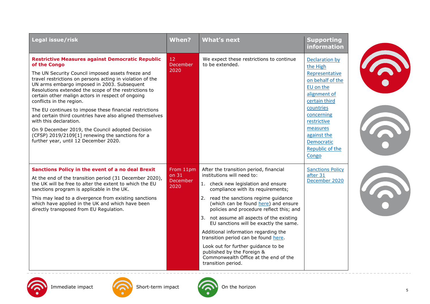| Legal issue/risk                                                                                                                                                                                                                                                                                                                                                                                                                                                                                                                                                                                                                                                                     | When?                                  | <b>What's next</b>                                                                                                                                                                                                                                                                                                                                                                                                                                                                                                                                                                       | <b>Supporting</b><br>information                                                                                                                                                                                                     |  |
|--------------------------------------------------------------------------------------------------------------------------------------------------------------------------------------------------------------------------------------------------------------------------------------------------------------------------------------------------------------------------------------------------------------------------------------------------------------------------------------------------------------------------------------------------------------------------------------------------------------------------------------------------------------------------------------|----------------------------------------|------------------------------------------------------------------------------------------------------------------------------------------------------------------------------------------------------------------------------------------------------------------------------------------------------------------------------------------------------------------------------------------------------------------------------------------------------------------------------------------------------------------------------------------------------------------------------------------|--------------------------------------------------------------------------------------------------------------------------------------------------------------------------------------------------------------------------------------|--|
| <b>Restrictive Measures against Democratic Republic</b><br>of the Congo<br>The UN Security Council imposed assets freeze and<br>travel restrictions on persons acting in violation of the<br>UN arms embargo imposed in 2003. Subsequent<br>Resolutions extended the scope of the restrictions to<br>certain other malign actors in respect of ongoing<br>conflicts in the region.<br>The EU continues to impose these financial restrictions<br>and certain third countries have also aligned themselves<br>with this declaration.<br>On 9 December 2019, the Council adopted Decision<br>(CFSP) 2019/2109[1] renewing the sanctions for a<br>further year, until 12 December 2020. | 12<br>December<br>2020                 | We expect these restrictions to continue<br>to be extended.                                                                                                                                                                                                                                                                                                                                                                                                                                                                                                                              | <b>Declaration by</b><br>the High<br>Representative<br>on behalf of the<br>EU on the<br>alignment of<br>certain third<br>countries<br>concerning<br>restrictive<br>measures<br>against the<br>Democratic<br>Republic of the<br>Congo |  |
| Sanctions Policy in the event of a no deal Brexit<br>At the end of the transition period (31 December 2020),<br>the UK will be free to alter the extent to which the EU<br>sanctions program is applicable in the UK.<br>This may lead to a divergence from existing sanctions<br>which have applied in the UK and which have been<br>directly transposed from EU Regulation.                                                                                                                                                                                                                                                                                                        | From 11pm<br>on 31<br>December<br>2020 | After the transition period, financial<br>institutions will need to:<br>1. check new legislation and ensure<br>compliance with its requirements;<br>2. read the sanctions regime guidance<br>(which can be found here) and ensure<br>policies and procedure reflect this; and<br>3. not assume all aspects of the existing<br>EU sanctions will be exactly the same.<br>Additional information regarding the<br>transition period can be found here.<br>Look out for further guidance to be<br>published by the Foreign &<br>Commonwealth Office at the end of the<br>transition period. | <b>Sanctions Policy</b><br>after 31<br>December 2020                                                                                                                                                                                 |  |



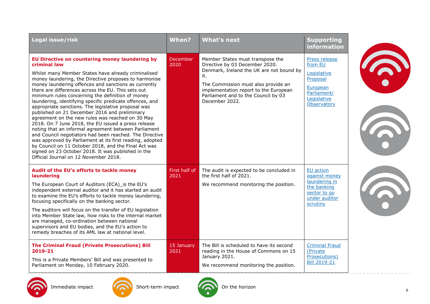| Legal issue/risk                                                                                                                                                                                                                                                                                                                                                                                                                                                                                                                                                                                                                                                                                                                                                                                                                                                                                                                                                      | When?                 | <b>What's next</b>                                                                                                                                                                                                                                             | <b>Supporting</b><br><b>information</b>                                                                      |  |
|-----------------------------------------------------------------------------------------------------------------------------------------------------------------------------------------------------------------------------------------------------------------------------------------------------------------------------------------------------------------------------------------------------------------------------------------------------------------------------------------------------------------------------------------------------------------------------------------------------------------------------------------------------------------------------------------------------------------------------------------------------------------------------------------------------------------------------------------------------------------------------------------------------------------------------------------------------------------------|-----------------------|----------------------------------------------------------------------------------------------------------------------------------------------------------------------------------------------------------------------------------------------------------------|--------------------------------------------------------------------------------------------------------------|--|
| EU Directive on countering money laundering by<br>criminal law<br>Whilst many Member States have already criminalised<br>money laundering, the Directive proposes to harmonise<br>money laundering offences and sanctions as currently<br>there are differences across the EU. This sets out<br>minimum rules concerning the definition of money<br>laundering, identifying specific predicate offences, and<br>appropriate sanctions. The legislative proposal was<br>published on 21 December 2016 and preliminary<br>agreement on the new rules was reached on 30 May<br>2018. On 7 June 2018, the EU issued a press release<br>noting that an informal agreement between Parliament<br>and Council negotiators had been reached. The Directive<br>was approved by Parliament at its first reading, adopted<br>by Council on 11 October 2018, and the Final Act was<br>signed on 23 October 2018. It was published in the<br>Official Journal on 12 November 2018. | December<br>2020      | Member States must transpose the<br>Directive by 03 December 2020.<br>Denmark, Ireland the UK are not bound by<br>it.<br>The Commission must also provide an<br>implementation report to the European<br>Parliament and to the Council by 03<br>December 2022. | Press release<br>from EU<br>Legislative<br>Proposal<br>European<br>Parliament/<br>Legislative<br>Observatory |  |
| Audit of the EU's efforts to tackle money<br>laundering<br>The European Court of Auditors (ECA) is the EU's<br>independent external auditor and it has started an audit<br>to examine the EU's efforts to tackle money laundering,<br>focusing specifically on the banking sector.<br>The auditors will focus on the transfer of EU legislation<br>into Member State law, how risks to the internal market<br>are managed, co-ordination between national<br>supervisors and EU bodies, and the EU's action to<br>remedy breaches of its AML law at national level.                                                                                                                                                                                                                                                                                                                                                                                                   | First half of<br>2021 | The audit is expected to be concluded in<br>the first half of 2021.<br>We recommend monitoring the position.                                                                                                                                                   | EU action<br>against money<br>laundering in<br>the banking<br>sector to go<br>under auditor<br>scrutiny      |  |
| <b>The Criminal Fraud (Private Prosecutions) Bill</b><br>2019-21<br>This is a Private Members' Bill and was presented to<br>Parliament on Monday, 10 February 2020.                                                                                                                                                                                                                                                                                                                                                                                                                                                                                                                                                                                                                                                                                                                                                                                                   | 15 January<br>2021    | The Bill is scheduled to have its second<br>reading in the House of Commons on 15<br>January 2021.<br>We recommend monitoring the position.                                                                                                                    | <b>Criminal Fraud</b><br>(Private<br>Prosecutions)<br><b>Bill 2019-21</b>                                    |  |



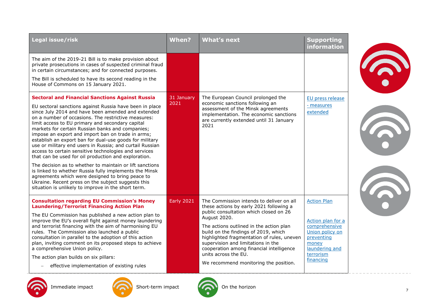| Legal issue/risk                                                                                                                                                                                                                                                                                                                                                                                                                                                                                                                                                                                                                                                                                                                                                                                                                                                                                                           | <b>When?</b>       | <b>What's next</b>                                                                                                                                                                                                                                                                                                                                                                                                                | <b>Supporting</b><br>information                                                                                                               |  |
|----------------------------------------------------------------------------------------------------------------------------------------------------------------------------------------------------------------------------------------------------------------------------------------------------------------------------------------------------------------------------------------------------------------------------------------------------------------------------------------------------------------------------------------------------------------------------------------------------------------------------------------------------------------------------------------------------------------------------------------------------------------------------------------------------------------------------------------------------------------------------------------------------------------------------|--------------------|-----------------------------------------------------------------------------------------------------------------------------------------------------------------------------------------------------------------------------------------------------------------------------------------------------------------------------------------------------------------------------------------------------------------------------------|------------------------------------------------------------------------------------------------------------------------------------------------|--|
| The aim of the 2019-21 Bill is to make provision about<br>private prosecutions in cases of suspected criminal fraud<br>in certain circumstances; and for connected purposes.                                                                                                                                                                                                                                                                                                                                                                                                                                                                                                                                                                                                                                                                                                                                               |                    |                                                                                                                                                                                                                                                                                                                                                                                                                                   |                                                                                                                                                |  |
| The Bill is scheduled to have its second reading in the<br>House of Commons on 15 January 2021.                                                                                                                                                                                                                                                                                                                                                                                                                                                                                                                                                                                                                                                                                                                                                                                                                            |                    |                                                                                                                                                                                                                                                                                                                                                                                                                                   |                                                                                                                                                |  |
| <b>Sectoral and Financial Sanctions Against Russia</b><br>EU sectoral sanctions against Russia have been in place<br>since July 2014 and have been amended and extended<br>on a number of occasions. The restrictive measures:<br>limit access to EU primary and secondary capital<br>markets for certain Russian banks and companies;<br>impose an export and import ban on trade in arms;<br>establish an export ban for dual-use goods for military<br>use or military end users in Russia; and curtail Russian<br>access to certain sensitive technologies and services<br>that can be used for oil production and exploration.<br>The decision as to whether to maintain or lift sanctions<br>is linked to whether Russia fully implements the Minsk<br>agreements which were designed to bring peace to<br>Ukraine. Recent press on the subject suggests this<br>situation is unlikely to improve in the short term. | 31 January<br>2021 | The European Council prolonged the<br>economic sanctions following an<br>assessment of the Minsk agreements<br>implementation. The economic sanctions<br>are currently extended until 31 January<br>2021                                                                                                                                                                                                                          | EU press release<br>- measures<br>extended                                                                                                     |  |
| <b>Consultation regarding EU Commission's Money</b><br><b>Laundering/Terrorist Financing Action Plan</b><br>The EU Commission has published a new action plan to<br>improve the EU's overall fight against money laundering<br>and terrorist financing with the aim of harmonising EU<br>rules. The Commission also launched a public<br>consultation in parallel to the adoption of this action<br>plan, inviting comment on its proposed steps to achieve<br>a comprehensive Union policy.<br>The action plan builds on six pillars:<br>effective implementation of existing rules                                                                                                                                                                                                                                                                                                                                       | <b>Early 2021</b>  | The Commission intends to deliver on all<br>these actions by early 2021 following a<br>public consultation which closed on 26<br>August 2020.<br>The actions outlined in the action plan<br>build on the findings of 2019, which<br>highlighted fragmentation of rules, uneven<br>supervision and limitations in the<br>cooperation among financial intelligence<br>units across the EU.<br>We recommend monitoring the position. | <b>Action Plan</b><br>Action plan for a<br>comprehensive<br>Union policy on<br>preventing<br>money<br>laundering and<br>terrorism<br>financing |  |





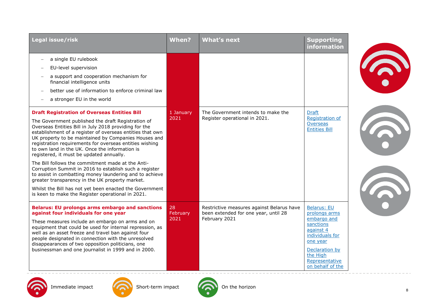| Legal issue/risk                                                                                                                                                                                                                                                                                                                                                                                                                                                                                                                                                                                                                                                                                                                                                                              | When?                  | <b>What's next</b>                                                                                 | <b>Supporting</b><br>information                                                                                                                                                |  |
|-----------------------------------------------------------------------------------------------------------------------------------------------------------------------------------------------------------------------------------------------------------------------------------------------------------------------------------------------------------------------------------------------------------------------------------------------------------------------------------------------------------------------------------------------------------------------------------------------------------------------------------------------------------------------------------------------------------------------------------------------------------------------------------------------|------------------------|----------------------------------------------------------------------------------------------------|---------------------------------------------------------------------------------------------------------------------------------------------------------------------------------|--|
| a single EU rulebook<br>EU-level supervision<br>a support and cooperation mechanism for<br>financial intelligence units<br>better use of information to enforce criminal law<br>a stronger EU in the world                                                                                                                                                                                                                                                                                                                                                                                                                                                                                                                                                                                    |                        |                                                                                                    |                                                                                                                                                                                 |  |
| <b>Draft Registration of Overseas Entities Bill</b><br>The Government published the draft Registration of<br>Overseas Entities Bill in July 2018 providing for the<br>establishment of a register of overseas entities that own<br>UK property to be maintained by Companies Houses and<br>registration requirements for overseas entities wishing<br>to own land in the UK. Once the information is<br>registered, it must be updated annually.<br>The Bill follows the commitment made at the Anti-<br>Corruption Summit in 2016 to establish such a register<br>to assist in combatting money laundering and to achieve<br>greater transparency in the UK property market.<br>Whilst the Bill has not yet been enacted the Government<br>is keen to make the Register operational in 2021. | 1 January<br>2021      | The Government intends to make the<br>Register operational in 2021.                                | <b>Draft</b><br>Registration of<br>Overseas<br><b>Entities Bill</b>                                                                                                             |  |
| <b>Belarus: EU prolongs arms embargo and sanctions</b><br>against four individuals for one year<br>These measures include an embargo on arms and on<br>equipment that could be used for internal repression, as<br>well as an asset freeze and travel ban against four<br>people designated in connection with the unresolved<br>disappearances of two opposition politicians, one<br>businessman and one journalist in 1999 and in 2000.                                                                                                                                                                                                                                                                                                                                                     | 28<br>February<br>2021 | Restrictive measures against Belarus have<br>been extended for one year, until 28<br>February 2021 | <b>Belarus: EU</b><br>prolongs arms<br>embargo and<br>sanctions<br>against 4<br>individuals for<br>one year<br>Declaration by<br>the High<br>Representative<br>on behalf of the |  |





Immediate impact **CON** Short-term impact CON On the horizon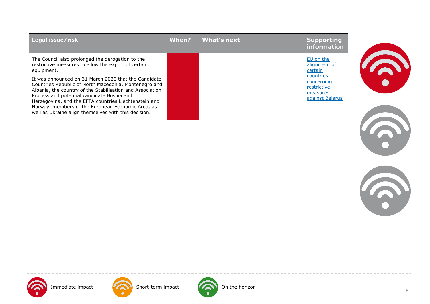| Legal issue/risk                                                                                                                                                                                                                                                                                                                                                                               | When? | What's next | <b>Supporting</b><br>information                                      |
|------------------------------------------------------------------------------------------------------------------------------------------------------------------------------------------------------------------------------------------------------------------------------------------------------------------------------------------------------------------------------------------------|-------|-------------|-----------------------------------------------------------------------|
| The Council also prolonged the derogation to the<br>restrictive measures to allow the export of certain<br>equipment.                                                                                                                                                                                                                                                                          |       |             | EU on the<br>alignment of<br>certain                                  |
| It was announced on 31 March 2020 that the Candidate<br>Countries Republic of North Macedonia, Montenegro and<br>Albania, the country of the Stabilisation and Association<br>Process and potential candidate Bosnia and<br>Herzegovina, and the EFTA countries Liechtenstein and<br>Norway, members of the European Economic Area, as<br>well as Ukraine align themselves with this decision. |       |             | countries<br>concerning<br>restrictive<br>measures<br>against Belarus |







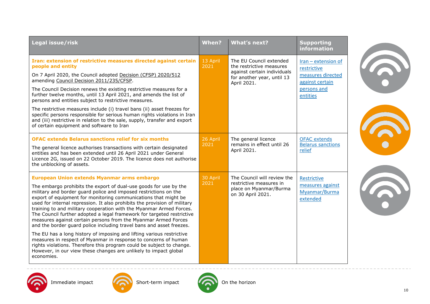| Legal issue/risk                                                                                                                                                                                                                                                                                                                                                                                                                                                                                                                                                                                                                                                                                                                                                                                                                                                                                                                       | When?            | <b>What's next?</b>                                                                                                             | <b>Supporting</b><br><b>information</b>                                                                 |
|----------------------------------------------------------------------------------------------------------------------------------------------------------------------------------------------------------------------------------------------------------------------------------------------------------------------------------------------------------------------------------------------------------------------------------------------------------------------------------------------------------------------------------------------------------------------------------------------------------------------------------------------------------------------------------------------------------------------------------------------------------------------------------------------------------------------------------------------------------------------------------------------------------------------------------------|------------------|---------------------------------------------------------------------------------------------------------------------------------|---------------------------------------------------------------------------------------------------------|
| Iran: extension of restrictive measures directed against certain<br>people and entity<br>On 7 April 2020, the Council adopted Decision (CFSP) 2020/512<br>amending Council Decision 2011/235/CFSP.<br>The Council Decision renews the existing restrictive measures for a<br>further twelve months, until 13 April 2021, and amends the list of<br>persons and entities subject to restrictive measures.<br>The restrictive measures include (i) travel bans (ii) asset freezes for<br>specific persons responsible for serious human rights violations in Iran<br>and (iii) restrictive in relation to the sale, supply, transfer and export<br>of certain equipment and software to Iran                                                                                                                                                                                                                                             | 13 April<br>2021 | The EU Council extended<br>the restrictive measures<br>against certain individuals<br>for another year, until 13<br>April 2021. | $Iran - extension of$<br>restrictive<br>measures directed<br>against certain<br>persons and<br>entities |
| <b>OFAC extends Belarus sanctions relief for six months</b><br>The general licence authorises transactions with certain designated<br>entities and has been extended until 26 April 2021 under General<br>Licence 2G, issued on 22 October 2019. The licence does not authorise<br>the unblocking of assets.                                                                                                                                                                                                                                                                                                                                                                                                                                                                                                                                                                                                                           | 26 April<br>2021 | The general licence<br>remains in effect until 26<br>April 2021.                                                                | <b>OFAC</b> extends<br><b>Belarus sanctions</b><br>relief                                               |
| European Union extends Myanmar arms embargo<br>The embargo prohibits the export of dual-use goods for use by the<br>military and border guard police and imposed restrictions on the<br>export of equipment for monitoring communications that might be<br>used for internal repression. It also prohibits the provision of military<br>training to and military cooperation with the Myanmar Armed Forces.<br>The Council further adopted a legal framework for targeted restrictive<br>measures against certain persons from the Myanmar Armed Forces<br>and the border guard police including travel bans and asset freezes.<br>The EU has a long history of imposing and lifting various restrictive<br>measures in respect of Myanmar in response to concerns of human<br>rights violations. Therefore this program could be subject to change.<br>However, in our view these changes are unlikely to impact global<br>economies. | 30 April<br>2021 | The Council will review the<br>restrictive measures in<br>place on Myanmar/Burma<br>on 30 April 2021.                           | Restrictive<br>measures against<br>Myanmar/Burma<br>extended                                            |







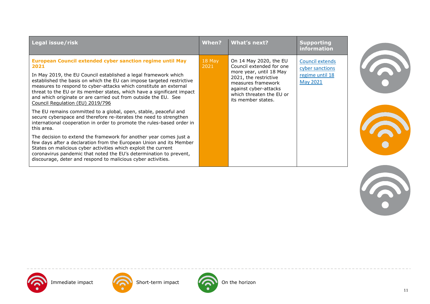| Legal issue/risk                                                                                                                                                                                                                                                                                                                                                                                                                                                    | When?          | What's next?                                                                                                                                                                                            | <b>Supporting</b><br>information                                                |
|---------------------------------------------------------------------------------------------------------------------------------------------------------------------------------------------------------------------------------------------------------------------------------------------------------------------------------------------------------------------------------------------------------------------------------------------------------------------|----------------|---------------------------------------------------------------------------------------------------------------------------------------------------------------------------------------------------------|---------------------------------------------------------------------------------|
| European Council extended cyber sanction regime until May<br>2021<br>In May 2019, the EU Council established a legal framework which<br>established the basis on which the EU can impose targeted restrictive<br>measures to respond to cyber-attacks which constitute an external<br>threat to the EU or its member states, which have a significant impact<br>and which originate or are carried out from outside the EU. See<br>Council Regulation (EU) 2019/796 | 18 May<br>2021 | On 14 May 2020, the EU<br>Council extended for one<br>more year, until 18 May<br>2021, the restrictive<br>measures framework<br>against cyber-attacks<br>which threaten the EU or<br>its member states. | <b>Council extends</b><br>cyber sanctions<br>regime until 18<br><b>May 2021</b> |
| The EU remains committed to a global, open, stable, peaceful and<br>secure cyberspace and therefore re-iterates the need to strengthen<br>international cooperation in order to promote the rules-based order in<br>this area.                                                                                                                                                                                                                                      |                |                                                                                                                                                                                                         |                                                                                 |
| The decision to extend the framework for another year comes just a<br>few days after a declaration from the European Union and its Member<br>States on malicious cyber activities which exploit the current<br>coronavirus pandemic that noted the EU's determination to prevent,<br>discourage, deter and respond to malicious cyber activities.                                                                                                                   |                |                                                                                                                                                                                                         |                                                                                 |







Immediate impact Short-term impact On the horizon



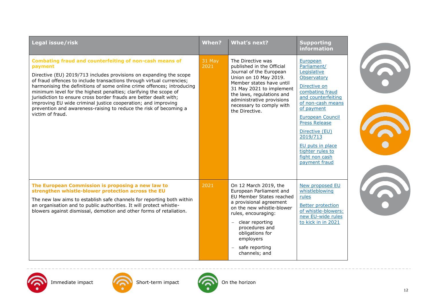| Legal issue/risk                                                                                                                                                                                                                                                                                                                                                                                                                                                                                                                                                                               | When?          | <b>What's next?</b>                                                                                                                                                                                                                                                         | <b>Supporting</b><br><b>information</b>                                                                                                                                                                                                                                                                       |  |
|------------------------------------------------------------------------------------------------------------------------------------------------------------------------------------------------------------------------------------------------------------------------------------------------------------------------------------------------------------------------------------------------------------------------------------------------------------------------------------------------------------------------------------------------------------------------------------------------|----------------|-----------------------------------------------------------------------------------------------------------------------------------------------------------------------------------------------------------------------------------------------------------------------------|---------------------------------------------------------------------------------------------------------------------------------------------------------------------------------------------------------------------------------------------------------------------------------------------------------------|--|
| Combating fraud and counterfeiting of non-cash means of<br>payment<br>Directive (EU) 2019/713 includes provisions on expanding the scope<br>of fraud offences to include transactions through virtual currencies;<br>harmonising the definitions of some online crime offences; introducing<br>minimum level for the highest penalties; clarifying the scope of<br>jurisdiction to ensure cross border frauds are better dealt with;<br>improving EU wide criminal justice cooperation; and improving<br>prevention and awareness-raising to reduce the risk of becoming a<br>victim of fraud. | 31 May<br>2021 | The Directive was<br>published in the Official<br>Journal of the European<br>Union on 10 May 2019.<br>Member states have until<br>31 May 2021 to implement<br>the laws, regulations and<br>administrative provisions<br>necessary to comply with<br>the Directive.          | European<br>Parliament/<br>Legislative<br>Observatory<br>Directive on<br>combating fraud<br>and counterfeiting<br>of non-cash means<br>of payment<br><b>European Council</b><br><b>Press Release</b><br>Directive (EU)<br>2019/713<br>EU puts in place<br>tighter rules to<br>fight non cash<br>payment fraud |  |
| The European Commission is proposing a new law to<br>strengthen whistle-blower protection across the EU<br>The new law aims to establish safe channels for reporting both within<br>an organisation and to public authorities. It will protect whistle-<br>blowers against dismissal, demotion and other forms of retaliation.                                                                                                                                                                                                                                                                 | 2021           | On 12 March 2019, the<br>European Parliament and<br>EU Member States reached<br>a provisional agreement<br>on the new whistle-blower<br>rules, encouraging:<br>$-$ clear reporting<br>procedures and<br>obligations for<br>employers<br>$-$ safe reporting<br>channels; and | New proposed EU<br>whistleblowing<br>rules<br><b>Better protection</b><br>of whistle-blowers:<br>new EU-wide rules<br>to kick in in 2021                                                                                                                                                                      |  |









Immediate impact **On the horizon** Short-term impact **ON** On the horizon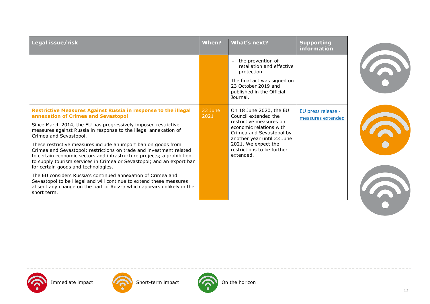| Legal issue/risk                                                                                                                                                                                                                                                                                                                                                                                                                                                                                                                                                                                                                                                                                                                                                                                                                               | When?             | <b>What's next?</b>                                                                                                                                                                                                               | <b>Supporting</b><br>information        |
|------------------------------------------------------------------------------------------------------------------------------------------------------------------------------------------------------------------------------------------------------------------------------------------------------------------------------------------------------------------------------------------------------------------------------------------------------------------------------------------------------------------------------------------------------------------------------------------------------------------------------------------------------------------------------------------------------------------------------------------------------------------------------------------------------------------------------------------------|-------------------|-----------------------------------------------------------------------------------------------------------------------------------------------------------------------------------------------------------------------------------|-----------------------------------------|
|                                                                                                                                                                                                                                                                                                                                                                                                                                                                                                                                                                                                                                                                                                                                                                                                                                                |                   | the prevention of<br>$\overline{\phantom{m}}$<br>retaliation and effective<br>protection<br>The final act was signed on<br>23 October 2019 and<br>published in the Official<br>Journal.                                           |                                         |
| <b>Restrictive Measures Against Russia in response to the illegal</b><br>annexation of Crimea and Sevastopol<br>Since March 2014, the EU has progressively imposed restrictive<br>measures against Russia in response to the illegal annexation of<br>Crimea and Sevastopol.<br>These restrictive measures include an import ban on goods from<br>Crimea and Sevastopol; restrictions on trade and investment related<br>to certain economic sectors and infrastructure projects; a prohibition<br>to supply tourism services in Crimea or Sevastopol; and an export ban<br>for certain goods and technologies.<br>The EU considers Russia's continued annexation of Crimea and<br>Sevastopol to be illegal and will continue to extend these measures<br>absent any change on the part of Russia which appears unlikely in the<br>short term. | $23$ June<br>2021 | On 18 June 2020, the EU<br>Council extended the<br>restrictive measures on<br>economic relations with<br>Crimea and Sevastopol by<br>another year until 23 June<br>2021. We expect the<br>restrictions to be further<br>extended. | EU press release -<br>measures extended |







Immediate impact **On the horizon** Short-term impact **ON** On the horizon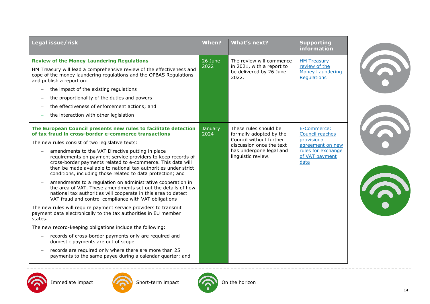| Legal issue/risk                                                                                                                                                                                                                                                                                                                                                                                                                                                                                                                                                                                                                                                                                                                                                                                                                                                                                                                                                                                                                                                                                                                                                                                                                                                             | When?                  | <b>What's next?</b>                                                                                                                                      | <b>Supporting</b><br>information                                                                                  |  |
|------------------------------------------------------------------------------------------------------------------------------------------------------------------------------------------------------------------------------------------------------------------------------------------------------------------------------------------------------------------------------------------------------------------------------------------------------------------------------------------------------------------------------------------------------------------------------------------------------------------------------------------------------------------------------------------------------------------------------------------------------------------------------------------------------------------------------------------------------------------------------------------------------------------------------------------------------------------------------------------------------------------------------------------------------------------------------------------------------------------------------------------------------------------------------------------------------------------------------------------------------------------------------|------------------------|----------------------------------------------------------------------------------------------------------------------------------------------------------|-------------------------------------------------------------------------------------------------------------------|--|
| <b>Review of the Money Laundering Regulations</b><br>HM Treasury will lead a comprehensive review of the effectiveness and<br>cope of the money laundering regulations and the OPBAS Regulations<br>and publish a report on:<br>the impact of the existing regulations<br>$\overline{\phantom{0}}$<br>the proportionality of the duties and powers<br>$\overline{\phantom{0}}$<br>the effectiveness of enforcement actions; and<br>the interaction with other legislation                                                                                                                                                                                                                                                                                                                                                                                                                                                                                                                                                                                                                                                                                                                                                                                                    | 26 June<br>2022        | The review will commence<br>in 2021, with a report to<br>be delivered by 26 June<br>2022.                                                                | <b>HM Treasury</b><br>review of the<br><b>Money Laundering</b><br><b>Requlations</b>                              |  |
| The European Council presents new rules to facilitate detection<br>of tax fraud in cross-border e-commerce transactions<br>The new rules consist of two legislative texts:<br>amendments to the VAT Directive putting in place<br>$\overline{\phantom{m}}$<br>requirements on payment service providers to keep records of<br>cross-border payments related to e-commerce. This data will<br>then be made available to national tax authorities under strict<br>conditions, including those related to data protection; and<br>amendments to a regulation on administrative cooperation in<br>the area of VAT. These amendments set out the details of how<br>national tax authorities will cooperate in this area to detect<br>VAT fraud and control compliance with VAT obligations<br>The new rules will require payment service providers to transmit<br>payment data electronically to the tax authorities in EU member<br>states.<br>The new record-keeping obligations include the following:<br>records of cross-border payments only are required and<br>$\qquad \qquad -$<br>domestic payments are out of scope<br>records are required only where there are more than 25<br>$\overline{\phantom{m}}$<br>payments to the same payee during a calendar quarter; and | <b>January</b><br>2024 | These rules should be<br>formally adopted by the<br>Council without further<br>discussion once the text<br>has undergone legal and<br>linguistic review. | E-Commerce:<br>Council reaches<br>provisional<br>agreement on new<br>rules for exchange<br>of VAT payment<br>data |  |







Immediate impact **On the horizon** Short-term impact **ON** On the horizon

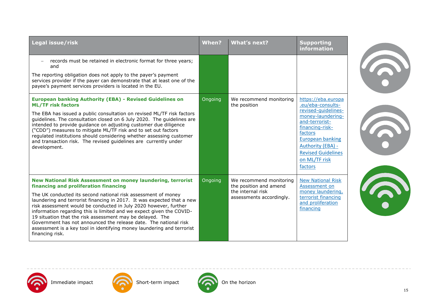| Legal issue/risk                                                                                                                                                                                                                                                                                                                                                                                                                                                                                                                                                                                                          | When?   | <b>What's next?</b>                                                                                | <b>Supporting</b><br>information                                                                                                                                                                                                             |
|---------------------------------------------------------------------------------------------------------------------------------------------------------------------------------------------------------------------------------------------------------------------------------------------------------------------------------------------------------------------------------------------------------------------------------------------------------------------------------------------------------------------------------------------------------------------------------------------------------------------------|---------|----------------------------------------------------------------------------------------------------|----------------------------------------------------------------------------------------------------------------------------------------------------------------------------------------------------------------------------------------------|
| records must be retained in electronic format for three years;<br>and<br>The reporting obligation does not apply to the payer's payment<br>services provider if the payer can demonstrate that at least one of the<br>payee's payment services providers is located in the EU.                                                                                                                                                                                                                                                                                                                                            |         |                                                                                                    |                                                                                                                                                                                                                                              |
| <b>European banking Authority (EBA) - Revised Guidelines on</b><br><b>ML/TF risk factors</b><br>The EBA has issued a public consultation on revised ML/TF risk factors<br>guidelines. The consultation closed on 6 July 2020. The guidelines are<br>intended to provide guidance on adjusting customer due diligence<br>("CDD") measures to mitigate ML/TF risk and to set out factors<br>regulated institutions should considering whether assessing customer<br>and transaction risk. The revised guidelines are currently under<br>development.                                                                        | Ongoing | We recommend monitoring<br>the position                                                            | https://eba.europa<br>.eu/eba-consults-<br>revised-quidelines-<br>money-laundering-<br>and-terrorist-<br>financing-risk-<br>factors<br><b>European banking</b><br>Authority (EBA) -<br><b>Revised Guidelines</b><br>on ML/TF risk<br>factors |
| New National Risk Assessment on money laundering, terrorist<br>financing and proliferation financing<br>The UK conducted its second national risk assessment of money<br>laundering and terrorist financing in 2017. It was expected that a new<br>risk assessment would be conducted in July 2020 however, further<br>information regarding this is limited and we expect given the COVID-<br>19 situation that the risk assessment may be delayed. The<br>Government has not announced the release date. The national risk<br>assessment is a key tool in identifying money laundering and terrorist<br>financing risk. | Ongoing | We recommend monitoring<br>the position and amend<br>the internal risk<br>assessments accordingly. | <b>New National Risk</b><br>Assessment on<br>money laundering,<br>terrorist financing<br>and proliferation<br>financing                                                                                                                      |







Immediate impact **On the horizon** Short-term impact **On the horizon**